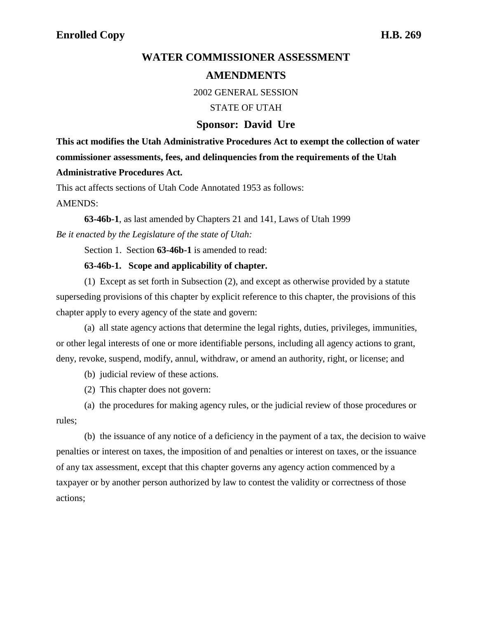## **AMENDMENTS**

2002 GENERAL SESSION

STATE OF UTAH

## **Sponsor: David Ure**

**This act modifies the Utah Administrative Procedures Act to exempt the collection of water commissioner assessments, fees, and delinquencies from the requirements of the Utah Administrative Procedures Act.**

This act affects sections of Utah Code Annotated 1953 as follows: AMENDS:

**63-46b-1**, as last amended by Chapters 21 and 141, Laws of Utah 1999 *Be it enacted by the Legislature of the state of Utah:*

Section 1. Section **63-46b-1** is amended to read:

## **63-46b-1. Scope and applicability of chapter.**

(1) Except as set forth in Subsection (2), and except as otherwise provided by a statute superseding provisions of this chapter by explicit reference to this chapter, the provisions of this chapter apply to every agency of the state and govern:

(a) all state agency actions that determine the legal rights, duties, privileges, immunities, or other legal interests of one or more identifiable persons, including all agency actions to grant, deny, revoke, suspend, modify, annul, withdraw, or amend an authority, right, or license; and

(b) judicial review of these actions.

(2) This chapter does not govern:

(a) the procedures for making agency rules, or the judicial review of those procedures or rules;

(b) the issuance of any notice of a deficiency in the payment of a tax, the decision to waive penalties or interest on taxes, the imposition of and penalties or interest on taxes, or the issuance of any tax assessment, except that this chapter governs any agency action commenced by a taxpayer or by another person authorized by law to contest the validity or correctness of those actions;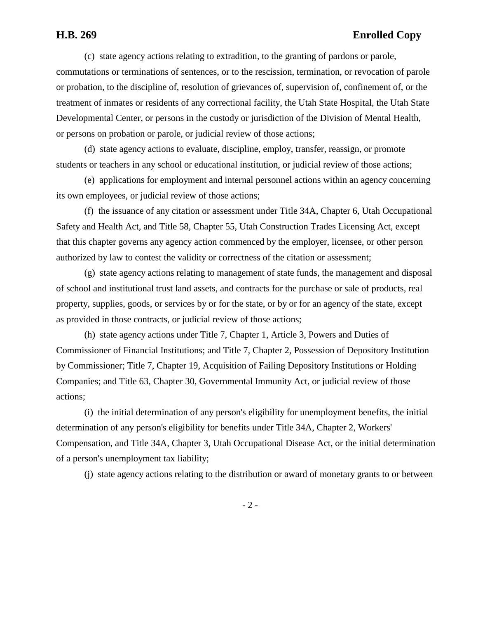(c) state agency actions relating to extradition, to the granting of pardons or parole, commutations or terminations of sentences, or to the rescission, termination, or revocation of parole or probation, to the discipline of, resolution of grievances of, supervision of, confinement of, or the treatment of inmates or residents of any correctional facility, the Utah State Hospital, the Utah State Developmental Center, or persons in the custody or jurisdiction of the Division of Mental Health, or persons on probation or parole, or judicial review of those actions;

(d) state agency actions to evaluate, discipline, employ, transfer, reassign, or promote students or teachers in any school or educational institution, or judicial review of those actions;

(e) applications for employment and internal personnel actions within an agency concerning its own employees, or judicial review of those actions;

(f) the issuance of any citation or assessment under Title 34A, Chapter 6, Utah Occupational Safety and Health Act, and Title 58, Chapter 55, Utah Construction Trades Licensing Act, except that this chapter governs any agency action commenced by the employer, licensee, or other person authorized by law to contest the validity or correctness of the citation or assessment;

(g) state agency actions relating to management of state funds, the management and disposal of school and institutional trust land assets, and contracts for the purchase or sale of products, real property, supplies, goods, or services by or for the state, or by or for an agency of the state, except as provided in those contracts, or judicial review of those actions;

(h) state agency actions under Title 7, Chapter 1, Article 3, Powers and Duties of Commissioner of Financial Institutions; and Title 7, Chapter 2, Possession of Depository Institution by Commissioner; Title 7, Chapter 19, Acquisition of Failing Depository Institutions or Holding Companies; and Title 63, Chapter 30, Governmental Immunity Act, or judicial review of those actions;

(i) the initial determination of any person's eligibility for unemployment benefits, the initial determination of any person's eligibility for benefits under Title 34A, Chapter 2, Workers' Compensation, and Title 34A, Chapter 3, Utah Occupational Disease Act, or the initial determination of a person's unemployment tax liability;

(j) state agency actions relating to the distribution or award of monetary grants to or between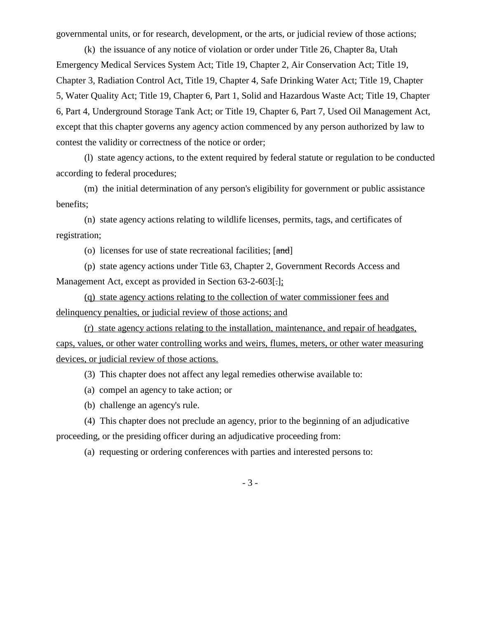governmental units, or for research, development, or the arts, or judicial review of those actions;

(k) the issuance of any notice of violation or order under Title 26, Chapter 8a, Utah Emergency Medical Services System Act; Title 19, Chapter 2, Air Conservation Act; Title 19, Chapter 3, Radiation Control Act, Title 19, Chapter 4, Safe Drinking Water Act; Title 19, Chapter 5, Water Quality Act; Title 19, Chapter 6, Part 1, Solid and Hazardous Waste Act; Title 19, Chapter 6, Part 4, Underground Storage Tank Act; or Title 19, Chapter 6, Part 7, Used Oil Management Act, except that this chapter governs any agency action commenced by any person authorized by law to contest the validity or correctness of the notice or order;

(l) state agency actions, to the extent required by federal statute or regulation to be conducted according to federal procedures;

(m) the initial determination of any person's eligibility for government or public assistance benefits;

(n) state agency actions relating to wildlife licenses, permits, tags, and certificates of registration;

(o) licenses for use of state recreational facilities;  $[\text{and}]$ 

(p) state agency actions under Title 63, Chapter 2, Government Records Access and Management Act, except as provided in Section 63-2-603[.];

(q) state agency actions relating to the collection of water commissioner fees and delinquency penalties, or judicial review of those actions; and

(r) state agency actions relating to the installation, maintenance, and repair of headgates, caps, values, or other water controlling works and weirs, flumes, meters, or other water measuring devices, or judicial review of those actions.

(3) This chapter does not affect any legal remedies otherwise available to:

- (a) compel an agency to take action; or
- (b) challenge an agency's rule.

(4) This chapter does not preclude an agency, prior to the beginning of an adjudicative proceeding, or the presiding officer during an adjudicative proceeding from:

(a) requesting or ordering conferences with parties and interested persons to:

- 3 -